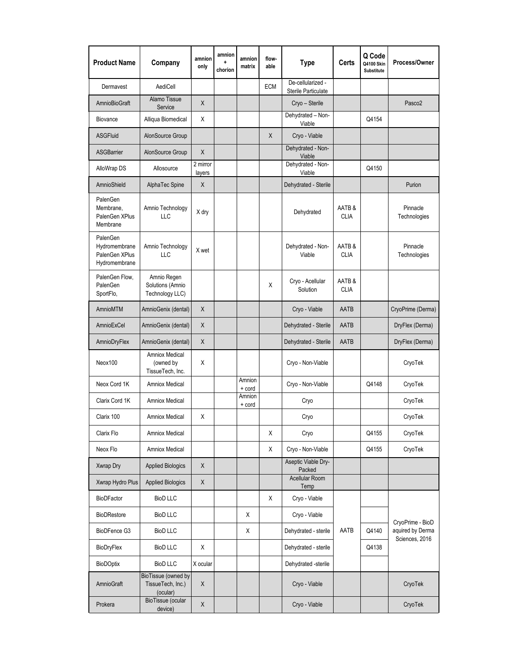| <b>Product Name</b>                                          | Company                                              | amnion<br>only     | amnion<br>÷<br>chorion | amnion<br>matrix | flow-<br>able | <b>Type</b>                              | Certs                 | Q Code<br>Q4100 Skin<br>Substitute | Process/Owner                                          |  |
|--------------------------------------------------------------|------------------------------------------------------|--------------------|------------------------|------------------|---------------|------------------------------------------|-----------------------|------------------------------------|--------------------------------------------------------|--|
| Dermavest                                                    | AediCell                                             |                    |                        |                  | <b>ECM</b>    | De-cellularized -<br>Sterile Particulate |                       |                                    |                                                        |  |
| <b>AmnioBioGraft</b>                                         | Alamo Tissue<br>Service                              | X                  |                        |                  |               | Cryo - Sterile                           |                       |                                    | Pasco <sub>2</sub>                                     |  |
| Biovance                                                     | Alliqua Biomedical                                   | X                  |                        |                  |               | Dehydrated - Non-<br>Viable              |                       | Q4154                              |                                                        |  |
| <b>ASGFluid</b>                                              | AlonSource Group                                     |                    |                        |                  | X             | Cryo - Viable                            |                       |                                    |                                                        |  |
| <b>ASGBarrier</b>                                            | AlonSource Group                                     | $\times$           |                        |                  |               | Dehydrated - Non-<br>Viable              |                       |                                    |                                                        |  |
| AlloWrap DS                                                  | Allosource                                           | 2 mirror<br>layers |                        |                  |               | Dehydrated - Non-<br>Viable              |                       | Q4150                              |                                                        |  |
| AmnioShield                                                  | AlphaTec Spine                                       | $\mathsf{X}$       |                        |                  |               | Dehydrated - Sterile                     |                       |                                    | Purion                                                 |  |
| PalenGen<br>Membrane,<br>PalenGen XPlus<br>Membrane          | Amnio Technology<br>LLC                              | X dry              |                        |                  |               | Dehydrated                               | AATB &<br><b>CLIA</b> |                                    | Pinnacle<br>Technologies                               |  |
| PalenGen<br>Hydromembrane<br>PalenGen XPlus<br>Hydromembrane | Amnio Technology<br>LLC                              | X wet              |                        |                  |               | Dehydrated - Non-<br>Viable              | AATB &<br><b>CLIA</b> |                                    | Pinnacle<br>Technologies                               |  |
| PalenGen Flow,<br>PalenGen<br>SportFlo,                      | Amnio Regen<br>Solutions (Amnio<br>Technology LLC)   |                    |                        |                  | X             | Cryo - Acellular<br>Solution             | AATB &<br><b>CLIA</b> |                                    |                                                        |  |
| <b>AmnioMTM</b>                                              | AmnioGenix (dental)                                  | X                  |                        |                  |               | Cryo - Viable                            | AATB                  |                                    | CryoPrime (Derma)                                      |  |
| AmnioExCel                                                   | AmnioGenix (dental)                                  | X                  |                        |                  |               | Dehydrated - Sterile                     | AATB                  |                                    | DryFlex (Derma)                                        |  |
| AmnioDryFlex                                                 | AmnioGenix (dental)                                  | X                  |                        |                  |               | Dehydrated - Sterile                     | AATB                  |                                    | DryFlex (Derma)                                        |  |
| Neox100                                                      | Amniox Medical<br>(owned by<br>TissueTech, Inc.      | Χ                  |                        |                  |               | Cryo - Non-Viable                        |                       |                                    | CryoTek                                                |  |
| Neox Cord 1K                                                 | Amniox Medical                                       |                    |                        | Amnion<br>+ cord |               | Cryo - Non-Viable                        |                       | Q4148                              | CryoTek                                                |  |
| Clarix Cord 1K                                               | <b>Amniox Medical</b>                                |                    |                        | Amnion<br>+ cord |               | Cryo                                     |                       |                                    | CryoTek                                                |  |
| Clarix 100                                                   | Amniox Medical                                       | X                  |                        |                  |               | Cryo                                     |                       |                                    | CryoTek                                                |  |
| Clarix Flo                                                   | Amniox Medical                                       |                    |                        |                  | Χ             | Cryo                                     |                       | Q4155                              | CryoTek                                                |  |
| Neox Flo                                                     | <b>Amniox Medical</b>                                |                    |                        |                  | Χ             | Cryo - Non-Viable                        |                       | Q4155                              | CryoTek                                                |  |
| Xwrap Dry                                                    | <b>Applied Biologics</b>                             | $\mathsf{X}$       |                        |                  |               | Aseptic Viable Dry-<br>Packed            |                       |                                    |                                                        |  |
| Xwrap Hydro Plus                                             | <b>Applied Biologics</b>                             | $\mathsf X$        |                        |                  |               | Acellular Room<br>Temp                   |                       |                                    |                                                        |  |
| <b>BioDFactor</b>                                            | <b>BioD LLC</b>                                      |                    |                        |                  | X             | Cryo - Viable                            |                       |                                    |                                                        |  |
| <b>BioDRestore</b>                                           | <b>BioD LLC</b>                                      |                    |                        | X                |               | Cryo - Viable                            |                       |                                    | CryoPrime - BioD<br>aquired by Derma<br>Sciences, 2016 |  |
| BioDFence G3                                                 | <b>BioD LLC</b>                                      |                    |                        | Χ                |               | Dehydrated - sterile                     | AATB                  | Q4140                              |                                                        |  |
| BioDryFlex                                                   | <b>BioD LLC</b>                                      | Χ                  |                        |                  |               | Dehydrated - sterile                     |                       | Q4138                              |                                                        |  |
| BioDOptix                                                    | <b>BioD LLC</b>                                      | X ocular           |                        |                  |               | Dehydrated -sterile                      |                       |                                    |                                                        |  |
| <b>AmnioGraft</b>                                            | BioTissue (owned by<br>TissueTech, Inc.)<br>(ocular) | X                  |                        |                  |               | Cryo - Viable                            |                       |                                    | CryoTek                                                |  |
| Prokera                                                      | BioTissue (ocular<br>device)                         | $\mathsf X$        |                        |                  |               | Cryo - Viable                            |                       |                                    | CryoTek                                                |  |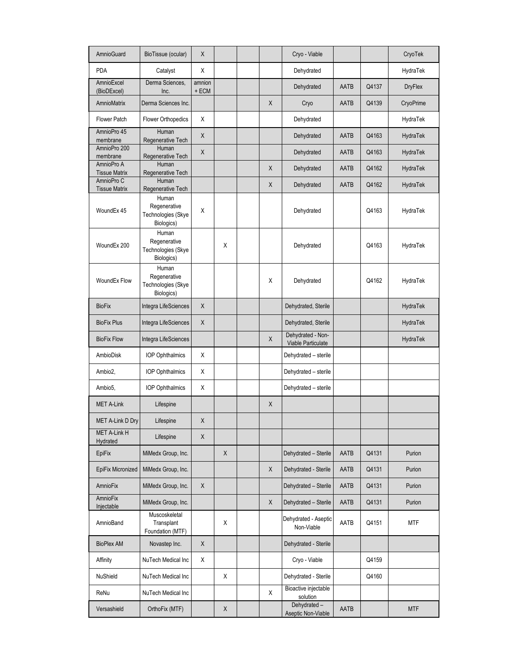| <b>AmnioGuard</b>                  | BioTissue (ocular)                                        | X                      |              |             | Cryo - Viable                           |               |       | CryoTek        |
|------------------------------------|-----------------------------------------------------------|------------------------|--------------|-------------|-----------------------------------------|---------------|-------|----------------|
| <b>PDA</b>                         | Catalyst                                                  | X                      |              |             | Dehydrated                              |               |       | HydraTek       |
| AmnioExcel<br>(BioDExcel)          | Derma Sciences,<br>Inc.                                   | amnion<br>$+$ ECM $\,$ |              |             | Dehydrated                              | AATB          | Q4137 | <b>DryFlex</b> |
| AmnioMatrix                        | Derma Sciences Inc.                                       |                        |              | $\mathsf X$ | Cryo                                    | AATB          | Q4139 | CryoPrime      |
| <b>Flower Patch</b>                | Flower Orthopedics                                        | X                      |              |             | Dehydrated                              |               |       | HydraTek       |
| AmnioPro 45<br>membrane            | Human<br>Regenerative Tech                                | $\mathsf X$            |              |             | Dehydrated                              | AATB          | Q4163 | HydraTek       |
| AmnioPro 200<br>membrane           | Human<br>Regenerative Tech                                | $\mathsf X$            |              |             | Dehydrated                              | <b>AATB</b>   | Q4163 | HydraTek       |
| AmnioPro A<br><b>Tissue Matrix</b> | Human<br>Regenerative Tech                                |                        |              | Χ           | Dehydrated                              | <b>AATB</b>   | Q4162 | HydraTek       |
| AmnioPro C<br><b>Tissue Matrix</b> | Human<br>Regenerative Tech                                |                        |              | Χ           | Dehydrated                              | AATB          | Q4162 | HydraTek       |
| WoundEx 45                         | Human<br>Regenerative<br>Technologies (Skye<br>Biologics) | X                      |              |             | Dehydrated                              |               | Q4163 | HydraTek       |
| WoundEx 200                        | Human<br>Regenerative<br>Technologies (Skye<br>Biologics) |                        | Χ            |             | Dehydrated                              | Q4163         |       | HydraTek       |
| WoundEx Flow                       | Human<br>Regenerative<br>Technologies (Skye<br>Biologics) |                        |              | Χ           | Dehydrated                              |               | Q4162 | HydraTek       |
| <b>BioFix</b>                      | Integra LifeSciences                                      | X                      |              |             | Dehydrated, Sterile                     |               |       | HydraTek       |
| <b>BioFix Plus</b>                 | Integra LifeSciences                                      | X                      |              |             | Dehydrated, Sterile                     |               |       | HydraTek       |
| <b>BioFix Flow</b>                 | Integra LifeSciences                                      |                        |              | $\mathsf X$ | Dehydrated - Non-<br>Viable Particulate |               |       | HydraTek       |
| AmbioDisk                          | <b>IOP Ophthalmics</b>                                    | Χ                      |              |             | Dehydrated - sterile                    |               |       |                |
| Ambio2,                            | <b>IOP Ophthalmics</b>                                    | X                      |              |             | Dehydrated - sterile                    |               |       |                |
| Ambio <sub>5</sub> ,               | <b>IOP Ophthalmics</b>                                    | Χ                      |              |             | Dehydrated - sterile                    |               |       |                |
| <b>MET A-Link</b>                  | Lifespine                                                 |                        |              | $\mathsf X$ |                                         |               |       |                |
| MET A-Link D Dry                   | Lifespine                                                 | X                      |              |             |                                         |               |       |                |
| MET A-Link H<br>Hydrated           | Lifespine                                                 | X                      |              |             |                                         |               |       |                |
| EpiFix                             | MiMedx Group, Inc.                                        |                        | $\mathsf X$  |             | Dehydrated - Sterile                    | AATB          | Q4131 | Purion         |
| EpiFix Micronized                  | MiMedx Group, Inc.                                        |                        |              | X           | Dehydrated - Sterile                    | AATB          | Q4131 | Purion         |
| AmnioFix                           | MiMedx Group, Inc.                                        | $\mathsf X$            |              |             | Dehydrated - Sterile                    | AATB          | Q4131 | Purion         |
| AmnioFix<br>Injectable             | MiMedx Group, Inc.                                        |                        |              | X           | Dehydrated - Sterile                    | AATB          | Q4131 | Purion         |
| AmnioBand                          | Muscoskeletal<br>Transplant<br>Foundation (MTF)           |                        | X            |             | Dehydrated - Aseptic<br>Non-Viable      | AATB<br>Q4151 |       | MTF            |
| <b>BioPlex AM</b>                  | Novastep Inc.                                             | X                      |              |             | Dehydrated - Sterile                    |               |       |                |
| Affinity                           | NuTech Medical Inc                                        | X                      |              |             | Cryo - Viable                           |               | Q4159 |                |
| NuShield                           | NuTech Medical Inc                                        |                        | X            |             | Dehydrated - Sterile                    |               | Q4160 |                |
| ReNu                               | NuTech Medical Inc                                        |                        |              | X           | Bioactive injectable<br>solution        |               |       |                |
| Versashield                        | OrthoFix (MTF)                                            |                        | $\mathsf{X}$ |             | Dehydrated-<br>Aseptic Non-Viable       | AATB          |       | <b>MTF</b>     |